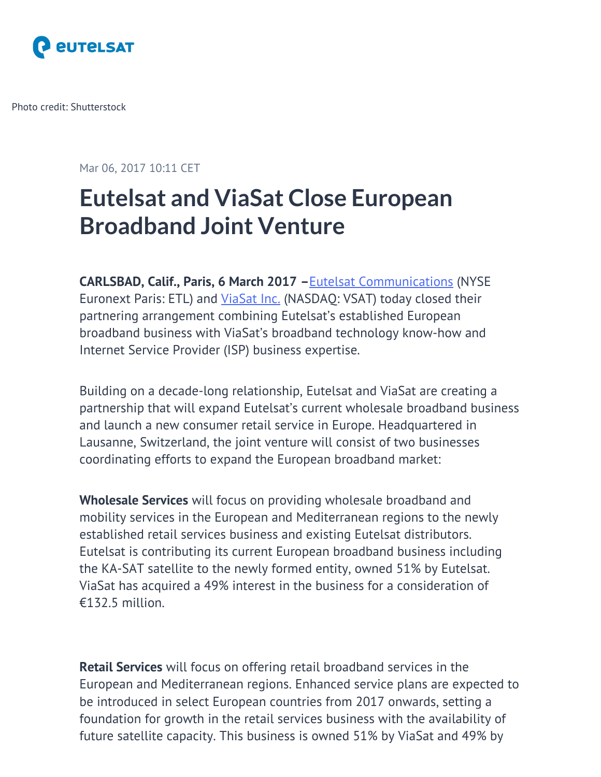

Photo credit: Shutterstock

Mar 06, 2017 10:11 CET

# **Eutelsat and ViaSat Close European Broadband Joint Venture**

**CARLSBAD, Calif., Paris, 6 March 2017 –**[Eutelsat Communications](https://urldefense.proofpoint.com/v2/url?u=http-3A__network.mynewsdesk.com_wf_click-3Fupn-3DXmw-2D2F3gVm7qaHaUIBhU-2D2FfHBrs8y-2D2BaNu3g5vvgFfkJmuM-2D3D-5FTptNG52VPfI4oQhfhUZ5SVDiTwpg68cbQzdJtr7JtW9yqsoUruydw4Y7rVGi5-2D2FVzK47G1m-2D2F6OBnBHIWJ9UW4SjM0ntUpxogDzdXROCei5krYtxzg6JCvlhxEG6K7z391hmLIi704GTg-2D2BdGUP4qMMAiJ96GIWVJvwl0CtqX842HfODhcN3xtioD09LQso83oaPNuPmVuPhl8uUJtyuY0DSsZcazV7F5z4fw-2D2BNxVSO2z9TZpilmjqbX9PJvxEW13nt9NNSQFtCMaNYnDo2wvGhBIK83xyfTKReHvsxEKP5ubmPe-2D2BNEc-2D2B8ZlCCNe5eZI1tfHAnci5-2D2F4cp1LCwW-2D2FTm2WRLyp3ZhEfiOYUF2MP-2D2Bsm-2D2FTkWWvueChEqgmpInaIgNgGWKPnToKsmBpt4WsT4ozXNdA-2D3D-2D3D&d=DwMGaQ&c=jcv3orpCsv7C4ly8-ubDob57ycZ4jvhoYZNDBA06fPk&r=P3thYNt0q7MYKBoJAYPV4ePw6tk7TmUjg_b6gHJLGBk&m=52faBekW3EQbRgaZymvT033yw9SGHQ28XkPLnkzbnzM&s=g_WZkFkvVTXL-R9P505IreXOGowpb_HPagAid0qB-eQ&e=) (NYSE Euronext Paris: ETL) and [ViaSat Inc.](https://urldefense.proofpoint.com/v2/url?u=http-3A__network.mynewsdesk.com_wf_click-3Fupn-3DXmw-2D2F3gVm7qaHaUIBhU-2D2FfHIzYUPEX8FqW4k7CBugd56g-2D3D-5FTptNG52VPfI4oQhfhUZ5SVDiTwpg68cbQzdJtr7JtW9yqsoUruydw4Y7rVGi5-2D2FVzK47G1m-2D2F6OBnBHIWJ9UW4SjM0ntUpxogDzdXROCei5krYtxzg6JCvlhxEG6K7z391hmLIi704GTg-2D2BdGUP4qMMAiJ96GIWVJvwl0CtqX842HfODhcN3xtioD09LQso83oaPNuPmVuPhl8uUJtyuY0DSgs9HwHkiga6Byfqb5Xyl7dkl71pTcevVlqJszKWpnoc8GLfK09BDZP9sdOGLNNhfPOJntjcSWNtiTxPAOKGUseeEk3faHfLmGn07hTsdXrjhnjOB-2D2FrmcJjO-2D2BNDY4Io7fJavyirgHH4HJ0XUxYLgYHWT58H7CtMDUftnkHaUDDn-2D2FD4syI9xYuBVht8oDWRB-2D2BRw-2D3D-2D3D&d=DwMGaQ&c=jcv3orpCsv7C4ly8-ubDob57ycZ4jvhoYZNDBA06fPk&r=P3thYNt0q7MYKBoJAYPV4ePw6tk7TmUjg_b6gHJLGBk&m=52faBekW3EQbRgaZymvT033yw9SGHQ28XkPLnkzbnzM&s=rDIXuio_Q4rXCzqAEX4-pEwQf33qaPAkyEVB_G-q6gA&e=) (NASDAQ: VSAT) today closed their partnering arrangement combining Eutelsat's established European broadband business with ViaSat's broadband technology know-how and Internet Service Provider (ISP) business expertise.

Building on a decade-long relationship, Eutelsat and ViaSat are creating a partnership that will expand Eutelsat's current wholesale broadband business and launch a new consumer retail service in Europe. Headquartered in Lausanne, Switzerland, the joint venture will consist of two businesses coordinating efforts to expand the European broadband market:

**Wholesale Services** will focus on providing wholesale broadband and mobility services in the European and Mediterranean regions to the newly established retail services business and existing Eutelsat distributors. Eutelsat is contributing its current European broadband business including the KA-SAT satellite to the newly formed entity, owned 51% by Eutelsat. ViaSat has acquired a 49% interest in the business for a consideration of €132.5 million.

**Retail Services** will focus on offering retail broadband services in the European and Mediterranean regions. Enhanced service plans are expected to be introduced in select European countries from 2017 onwards, setting a foundation for growth in the retail services business with the availability of future satellite capacity. This business is owned 51% by ViaSat and 49% by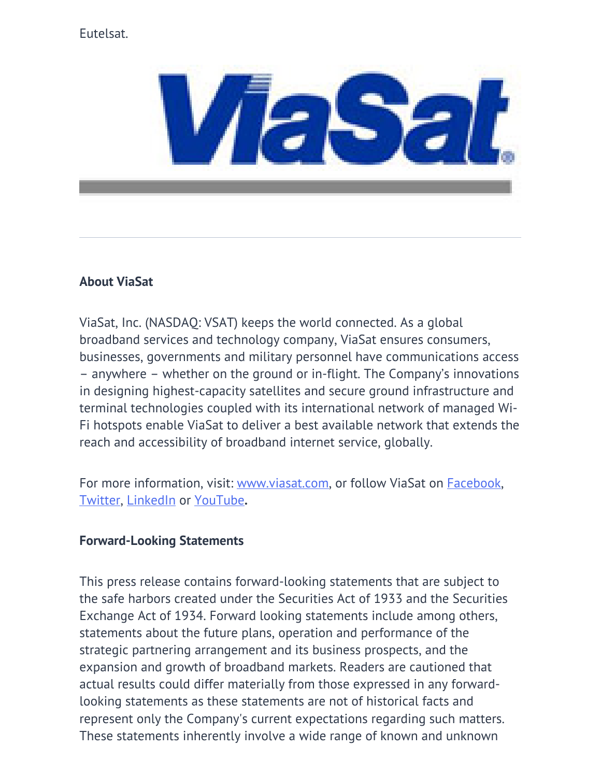## Eutelsat.



## **About ViaSat**

ViaSat, Inc. (NASDAQ: VSAT) keeps the world connected. As a global broadband services and technology company, ViaSat ensures consumers, businesses, governments and military personnel have communications access – anywhere – whether on the ground or in-flight. The Company's innovations in designing highest-capacity satellites and secure ground infrastructure and terminal technologies coupled with its international network of managed Wi-Fi hotspots enable ViaSat to deliver a best available network that extends the reach and accessibility of broadband internet service, globally.

For more information, visit: [www.viasat.com](http://www.viasat.com/), or follow ViaSat on **[Facebook](https://www.facebook.com/ViaSat)**, [Twitter,](https://twitter.com/ViaSatInc) [LinkedIn](https://www.linkedin.com/company/viasat) or [YouTube](https://www.youtube.com/user/ViaSatInc)**.**

## **Forward-Looking Statements**

This press release contains forward-looking statements that are subject to the safe harbors created under the Securities Act of 1933 and the Securities Exchange Act of 1934. Forward looking statements include among others, statements about the future plans, operation and performance of the strategic partnering arrangement and its business prospects, and the expansion and growth of broadband markets. Readers are cautioned that actual results could differ materially from those expressed in any forwardlooking statements as these statements are not of historical facts and represent only the Company's current expectations regarding such matters. These statements inherently involve a wide range of known and unknown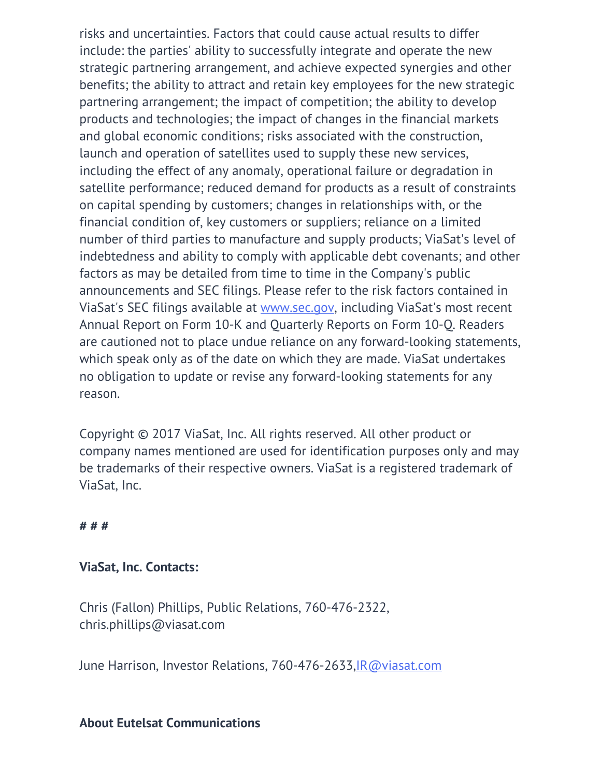risks and uncertainties. Factors that could cause actual results to differ include: the parties' ability to successfully integrate and operate the new strategic partnering arrangement, and achieve expected synergies and other benefits; the ability to attract and retain key employees for the new strategic partnering arrangement; the impact of competition; the ability to develop products and technologies; the impact of changes in the financial markets and global economic conditions; risks associated with the construction, launch and operation of satellites used to supply these new services, including the effect of any anomaly, operational failure or degradation in satellite performance; reduced demand for products as a result of constraints on capital spending by customers; changes in relationships with, or the financial condition of, key customers or suppliers; reliance on a limited number of third parties to manufacture and supply products; ViaSat's level of indebtedness and ability to comply with applicable debt covenants; and other factors as may be detailed from time to time in the Company's public announcements and SEC filings. Please refer to the risk factors contained in ViaSat's SEC filings available at [www.sec.gov,](http://www.sec.gov/) including ViaSat's most recent Annual Report on Form 10-K and Quarterly Reports on Form 10-Q. Readers are cautioned not to place undue reliance on any forward-looking statements, which speak only as of the date on which they are made. ViaSat undertakes no obligation to update or revise any forward-looking statements for any reason.

Copyright © 2017 ViaSat, Inc. All rights reserved. All other product or company names mentioned are used for identification purposes only and may be trademarks of their respective owners. ViaSat is a registered trademark of ViaSat, Inc.

**# # #**

#### **ViaSat, Inc. Contacts:**

Chris (Fallon) Phillips, Public Relations, 760-476-2322, chris.phillips@viasat.com

June Harrison, Investor Relations, 760-476-2633,[IR@viasat.com](mailto:IR@viasat.com)

#### **About Eutelsat Communications**